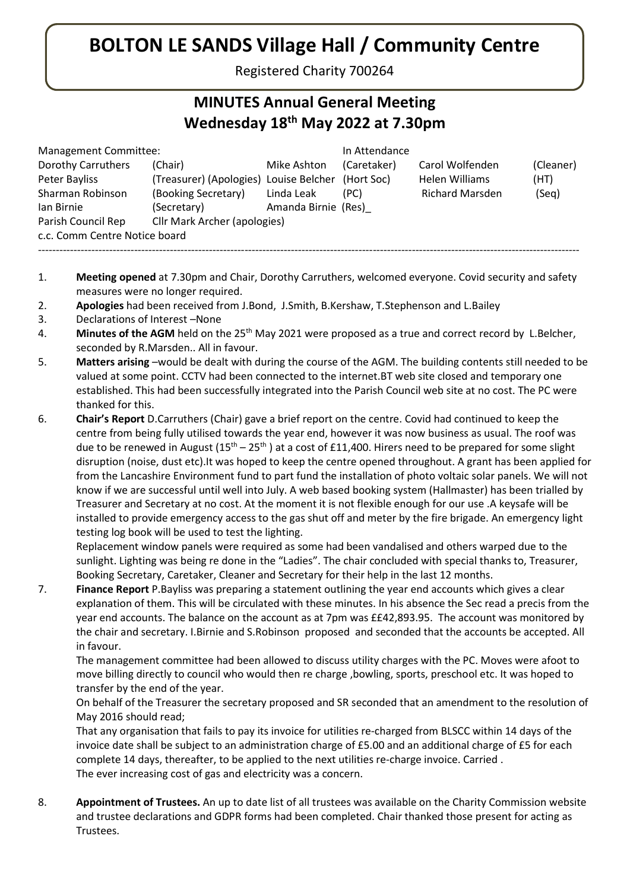## BOLTON LE SANDS Village Hall / Community Centre

Registered Charity 700264

## MINUTES Annual General Meeting Wednesday 18th May 2022 at 7.30pm

| Management Committee:         |                                                   |                     | In Attendance |                        |           |
|-------------------------------|---------------------------------------------------|---------------------|---------------|------------------------|-----------|
| Dorothy Carruthers            | (Chair)                                           | Mike Ashton         | (Caretaker)   | Carol Wolfenden        | (Cleaner) |
| Peter Bayliss                 | (Treasurer) (Apologies) Louise Belcher (Hort Soc) |                     |               | Helen Williams         | (HT)      |
| Sharman Robinson              | (Booking Secretary)                               | Linda Leak          | (PC)          | <b>Richard Marsden</b> | (Seq)     |
| lan Birnie                    | (Secretary)                                       | Amanda Birnie (Res) |               |                        |           |
| Parish Council Rep            | Cllr Mark Archer (apologies)                      |                     |               |                        |           |
| c.c. Comm Centre Notice board |                                                   |                     |               |                        |           |
|                               |                                                   |                     |               |                        |           |

- 1. Meeting opened at 7.30pm and Chair, Dorothy Carruthers, welcomed everyone. Covid security and safety measures were no longer required.
- 2. Apologies had been received from J.Bond, J.Smith, B.Kershaw, T.Stephenson and L.Bailey
- 3. Declarations of Interest –None
- 4. Minutes of the AGM held on the  $25<sup>th</sup>$  May 2021 were proposed as a true and correct record by L.Belcher, seconded by R.Marsden.. All in favour.
- 5. Matters arising –would be dealt with during the course of the AGM. The building contents still needed to be valued at some point. CCTV had been connected to the internet.BT web site closed and temporary one established. This had been successfully integrated into the Parish Council web site at no cost. The PC were thanked for this.
- 6. Chair's Report D.Carruthers (Chair) gave a brief report on the centre. Covid had continued to keep the centre from being fully utilised towards the year end, however it was now business as usual. The roof was due to be renewed in August  $(15<sup>th</sup> – 25<sup>th</sup>)$  at a cost of £11,400. Hirers need to be prepared for some slight disruption (noise, dust etc).It was hoped to keep the centre opened throughout. A grant has been applied for from the Lancashire Environment fund to part fund the installation of photo voltaic solar panels. We will not know if we are successful until well into July. A web based booking system (Hallmaster) has been trialled by Treasurer and Secretary at no cost. At the moment it is not flexible enough for our use .A keysafe will be installed to provide emergency access to the gas shut off and meter by the fire brigade. An emergency light testing log book will be used to test the lighting.

Replacement window panels were required as some had been vandalised and others warped due to the sunlight. Lighting was being re done in the "Ladies". The chair concluded with special thanks to, Treasurer, Booking Secretary, Caretaker, Cleaner and Secretary for their help in the last 12 months.

7. **Finance Report** P.Bayliss was preparing a statement outlining the year end accounts which gives a clear explanation of them. This will be circulated with these minutes. In his absence the Sec read a precis from the year end accounts. The balance on the account as at 7pm was ££42,893.95. The account was monitored by the chair and secretary. I.Birnie and S.Robinson proposed and seconded that the accounts be accepted. All in favour.

 The management committee had been allowed to discuss utility charges with the PC. Moves were afoot to move billing directly to council who would then re charge ,bowling, sports, preschool etc. It was hoped to transfer by the end of the year.

 On behalf of the Treasurer the secretary proposed and SR seconded that an amendment to the resolution of May 2016 should read;

That any organisation that fails to pay its invoice for utilities re-charged from BLSCC within 14 days of the invoice date shall be subject to an administration charge of £5.00 and an additional charge of £5 for each complete 14 days, thereafter, to be applied to the next utilities re-charge invoice. Carried . The ever increasing cost of gas and electricity was a concern.

8. Appointment of Trustees. An up to date list of all trustees was available on the Charity Commission website and trustee declarations and GDPR forms had been completed. Chair thanked those present for acting as Trustees.